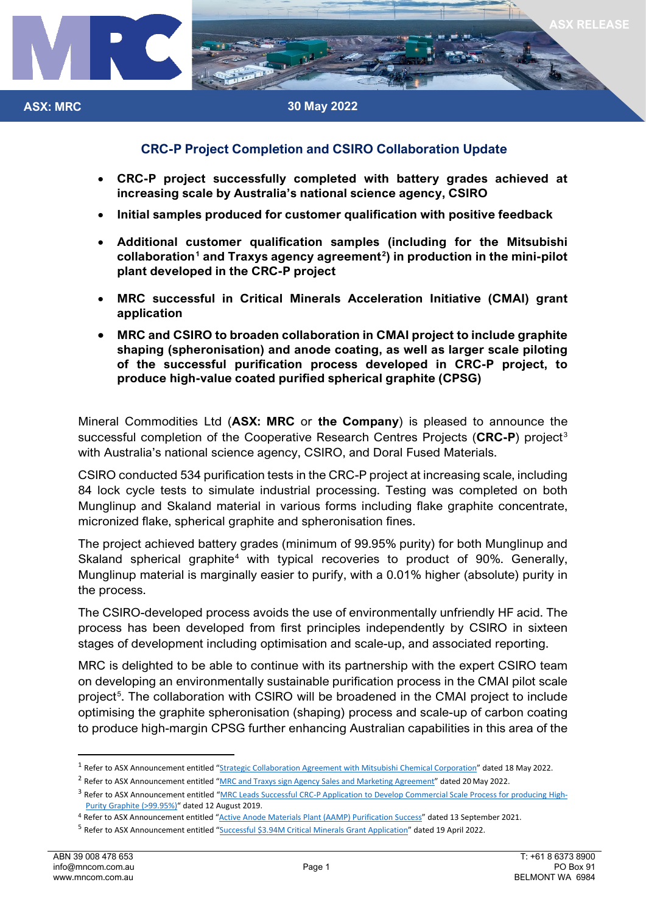

# **CRC-P Project Completion and CSIRO Collaboration Update**

- **CRC-P project successfully completed with battery grades achieved at increasing scale by Australia's national science agency, CSIRO**
- **Initial samples produced for customer qualification with positive feedback**
- **Additional customer qualification samples (including for the Mitsubishi collaboration[1](#page-0-0) and Traxys agency agreement[2](#page-0-1) ) in production in the mini-pilot plant developed in the CRC-P project**
- **MRC successful in Critical Minerals Acceleration Initiative (CMAI) grant application**
- **MRC and CSIRO to broaden collaboration in CMAI project to include graphite shaping (spheronisation) and anode coating, as well as larger scale piloting of the successful purification process developed in CRC-P project, to produce high-value coated purified spherical graphite (CPSG)**

Mineral Commodities Ltd (**ASX: MRC** or **the Company**) is pleased to announce the successful completion of the Cooperative Research Centres Projects (**CRC-P**) project[3](#page-0-2) with Australia's national science agency, CSIRO, and Doral Fused Materials.

CSIRO conducted 534 purification tests in the CRC-P project at increasing scale, including 84 lock cycle tests to simulate industrial processing. Testing was completed on both Munglinup and Skaland material in various forms including flake graphite concentrate, micronized flake, spherical graphite and spheronisation fines.

The project achieved battery grades (minimum of 99.95% purity) for both Munglinup and Skaland spherical graphite<sup>[4](#page-0-3)</sup> with typical recoveries to product of 90%. Generally, Munglinup material is marginally easier to purify, with a 0.01% higher (absolute) purity in the process.

The CSIRO-developed process avoids the use of environmentally unfriendly HF acid. The process has been developed from first principles independently by CSIRO in sixteen stages of development including optimisation and scale-up, and associated reporting.

MRC is delighted to be able to continue with its partnership with the expert CSIRO team on developing an environmentally sustainable purification process in the CMAI pilot scale project<sup>[5](#page-0-4)</sup>. The collaboration with CSIRO will be broadened in the CMAI project to include optimising the graphite spheronisation (shaping) process and scale-up of carbon coating to produce high-margin CPSG further enhancing Australian capabilities in this area of the

<span id="page-0-0"></span><sup>&</sup>lt;sup>1</sup> Refer to ASX Announcement entitled ["Strategic Collaboration Agreement with Mitsubishi Chemical Corporation"](https://www.mineralcommodities.com/wp-content/uploads/2022/05/20220518-MRC-EXE-ASX-2022-0001_0-MOU-with-Mitsubishi-Chemical-Corporation.pdf) dated 18 May 2022.

<span id="page-0-1"></span><sup>&</sup>lt;sup>2</sup> Refer to ASX Announcement entitled ["MRC and Traxys sign Agency Sales and Marketing Agreement"](https://www.mineralcommodities.com/wp-content/uploads/2022/05/MRC-EXE-ASX-2022-0017_0-Traxys-Sales-and-Marketing-MOU.pdf) dated 20 May 2022.

<span id="page-0-2"></span><sup>&</sup>lt;sup>3</sup> Refer to ASX Announcement entitled ["MRC Leads Successful CRC-P Application to Develop Commercial Scale Process for producing High-](https://www.mineralcommodities.com/wp-content/uploads/2020/10/12-August-2019-MRC-Leads-Successful-CRC-P-Grant-Application.pdf)[Purity Graphite \(>99.95%\)"](https://www.mineralcommodities.com/wp-content/uploads/2020/10/12-August-2019-MRC-Leads-Successful-CRC-P-Grant-Application.pdf) dated 12 August 2019.

<span id="page-0-3"></span><sup>4</sup> Refer to ASX Announcement entitled ["Active Anode Materials Plant \(AAMP\) Purification Success"](http://www.mineralcommodities.com/wp-content/uploads/2021/09/2264193.pdf) dated 13 September 2021.

<span id="page-0-4"></span><sup>5</sup> Refer to ASX Announcement entitled ["Successful \\$3.94M Critical Minerals Grant Application"](https://www.mineralcommodities.com/wp-content/uploads/2022/04/20200419-MRC-EXE-ASX-2022-0020_0-Successful-CMAI-Grant-Application.pdf) dated 19 April 2022.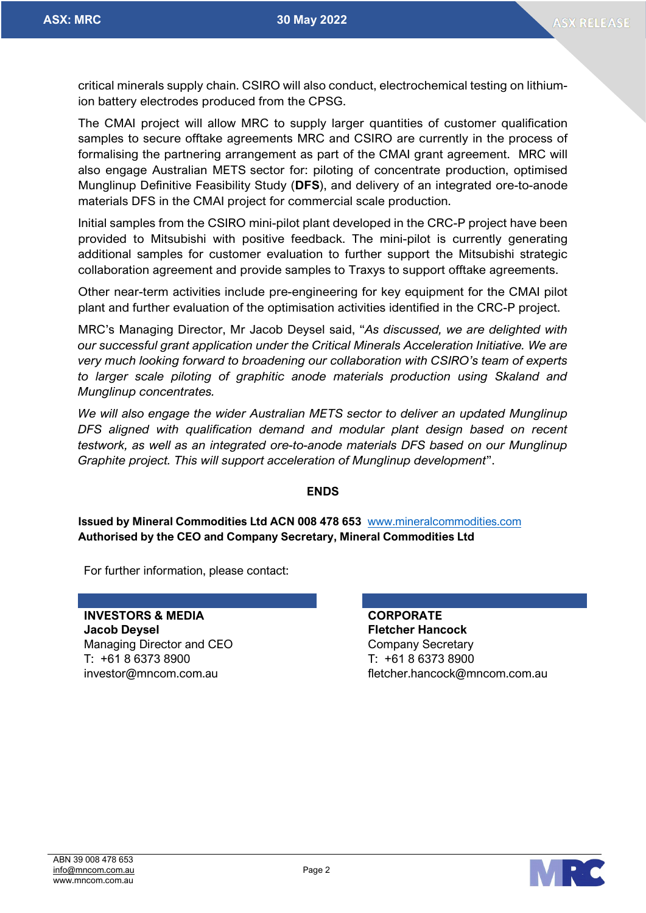critical minerals supply chain. CSIRO will also conduct, electrochemical testing on lithiumion battery electrodes produced from the CPSG.

The CMAI project will allow MRC to supply larger quantities of customer qualification samples to secure offtake agreements MRC and CSIRO are currently in the process of formalising the partnering arrangement as part of the CMAI grant agreement. MRC will also engage Australian METS sector for: piloting of concentrate production, optimised Munglinup Definitive Feasibility Study (**DFS**), and delivery of an integrated ore-to-anode materials DFS in the CMAI project for commercial scale production.

Initial samples from the CSIRO mini-pilot plant developed in the CRC-P project have been provided to Mitsubishi with positive feedback. The mini-pilot is currently generating additional samples for customer evaluation to further support the Mitsubishi strategic collaboration agreement and provide samples to Traxys to support offtake agreements.

Other near-term activities include pre-engineering for key equipment for the CMAI pilot plant and further evaluation of the optimisation activities identified in the CRC-P project.

MRC's Managing Director, Mr Jacob Deysel said, "*As discussed, we are delighted with our successful grant application under the Critical Minerals Acceleration Initiative. We are very much looking forward to broadening our collaboration with CSIRO's team of experts to larger scale piloting of graphitic anode materials production using Skaland and Munglinup concentrates.* 

*We will also engage the wider Australian METS sector to deliver an updated Munglinup DFS aligned with qualification demand and modular plant design based on recent testwork, as well as an integrated ore-to-anode materials DFS based on our Munglinup Graphite project. This will support acceleration of Munglinup development*".

### **ENDS**

#### **Issued by Mineral Commodities Ltd ACN 008 478 653** [www.mineralcommodities.com](http://www.mineralcommodities.com/) **Authorised by the CEO and Company Secretary, Mineral Commodities Ltd**

For further information, please contact:

**INVESTORS & MEDIA CORPORATE Jacob Deysel Fletcher Hancock** Managing Director and CEO Company Secretary T: +61 8 6373 8900 T: +61 8 6373 8900

investor@mncom.com.au fletcher.hancock@mncom.com.au